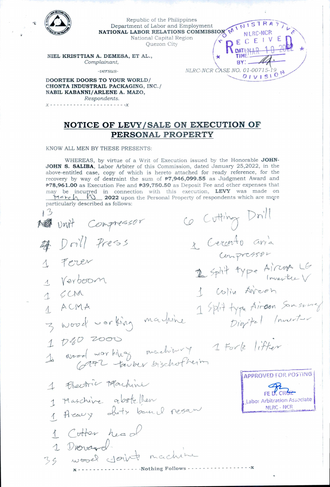

NOTICE OF LEVY/SALE ON EXECUTION OF PERSONAL PROPERTY

KNOW ALL MEN BY THESE PRESENTS:

Respondents.  $- - - - - - - - - - - - - -$ 

WHEREAS, by virtue of a Writ of Execution issued by the Honorable JOHN-JOHN S. SALIBA, Labor Arbiter of this Commission, dated January 25,2022, in the above-entitled case, copy of which is hereto attached for ready reference, for the recovery by way of destraint the sum of  $P7,946,099.55$  as Judgment Award and P78,961.00 as Execution Fee and P39,750.50 as Deposit Fee and other expenses that may be incurred in connection with this execution, LEVY was made on  $\forall a \in A \land \bigwedge$  2022 upon the Personal Property of respondents which are more particularly described as follows:

Co Cutting Drill  $13$ Me unit Compressor 1 Cercento anía 母 Doill Press Conpressor 1 Feren 2 Split type Aircora LG 1 Verboom 1 Colin Aircon  $15CM$ 1 Split type Airson Samsony 1 ACMA 3 wood working markine Digital Inventor 1 030 2000 1 Wood workhing machinery I Fork lifter **APPROVED FOR POSTING** 1 Electric Machine **FF IT CRU** 1 Maschine abstellen Labor Arbitration Associate 1 Areavy shits bound resam NLRC - NCR 1 Cotter head 35 wood you're machine - - - - Nothing Follows - - - - - -